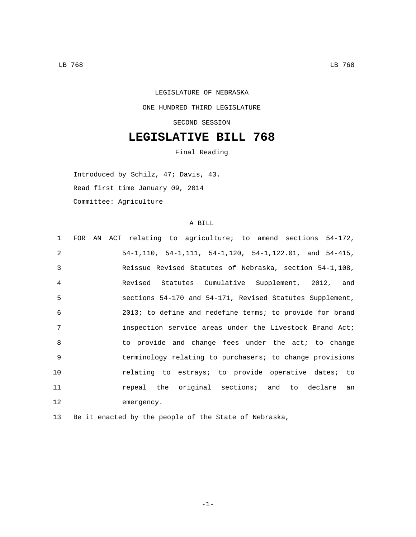## LEGISLATURE OF NEBRASKA ONE HUNDRED THIRD LEGISLATURE SECOND SESSION

## **LEGISLATIVE BILL 768**

Final Reading

Introduced by Schilz, 47; Davis, 43. Read first time January 09, 2014 Committee: Agriculture

## A BILL

| $\mathbf{1}$   |  | FOR AN ACT relating to agriculture; to amend sections 54-172, |
|----------------|--|---------------------------------------------------------------|
| $\mathfrak{D}$ |  | $54-1, 110, 54-1, 111, 54-1, 120, 54-1, 122.01, and 54-415,$  |
| 3              |  | Reissue Revised Statutes of Nebraska, section 54-1,108,       |
| 4              |  | Revised Statutes Cumulative Supplement, 2012, and             |
| 5              |  | sections 54-170 and 54-171, Revised Statutes Supplement,      |
| 6              |  | 2013; to define and redefine terms; to provide for brand      |
| 7              |  | inspection service areas under the Livestock Brand Act;       |
| 8              |  | to provide and change fees under the act; to change           |
| 9              |  | terminology relating to purchasers; to change provisions      |
| 10             |  | relating to estrays; to provide operative dates; to           |
| 11             |  | repeal the original sections; and to declare an               |
| 12             |  | emergency.                                                    |
|                |  |                                                               |

13 Be it enacted by the people of the State of Nebraska,

-1-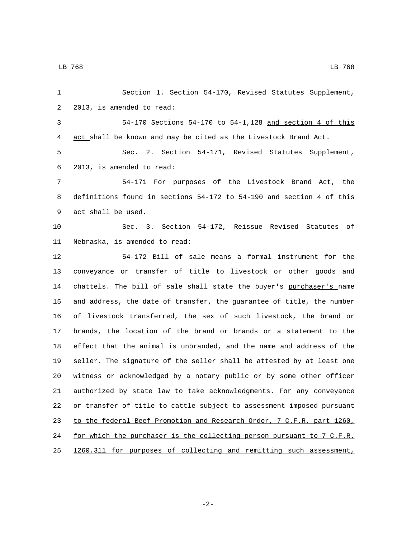| 1  | Section 1. Section 54-170, Revised Statutes Supplement,               |
|----|-----------------------------------------------------------------------|
| 2  | 2013, is amended to read:                                             |
| 3  | $54-170$ Sections $54-170$ to $54-1,128$ and section 4 of this        |
| 4  | act shall be known and may be cited as the Livestock Brand Act.       |
| 5  | Sec. 2. Section 54-171, Revised Statutes Supplement,                  |
| 6  | 2013, is amended to read:                                             |
| 7  | 54-171 For purposes of the Livestock Brand Act, the                   |
| 8  | definitions found in sections 54-172 to 54-190 and section 4 of this  |
| 9  | act shall be used.                                                    |
| 10 | Sec. 3. Section 54-172, Reissue Revised Statutes of                   |
| 11 | Nebraska, is amended to read:                                         |
| 12 | 54-172 Bill of sale means a formal instrument for the                 |
| 13 | conveyance or transfer of title to livestock or other goods and       |
| 14 | chattels. The bill of sale shall state the buyer's purchaser's name   |
| 15 | and address, the date of transfer, the guarantee of title, the number |
| 16 | of livestock transferred, the sex of such livestock, the brand or     |
| 17 | brands, the location of the brand or brands or a statement to the     |
| 18 | effect that the animal is unbranded, and the name and address of the  |
| 19 | seller. The signature of the seller shall be attested by at least one |
| 20 | witness or acknowledged by a notary public or by some other officer   |
| 21 | authorized by state law to take acknowledgments. For any conveyance   |
| 22 | or transfer of title to cattle subject to assessment imposed pursuant |
| 23 | to the federal Beef Promotion and Research Order, 7 C.F.R. part 1260, |
| 24 | for which the purchaser is the collecting person pursuant to 7 C.F.R. |
| 25 | 1260.311 for purposes of collecting and remitting such assessment,    |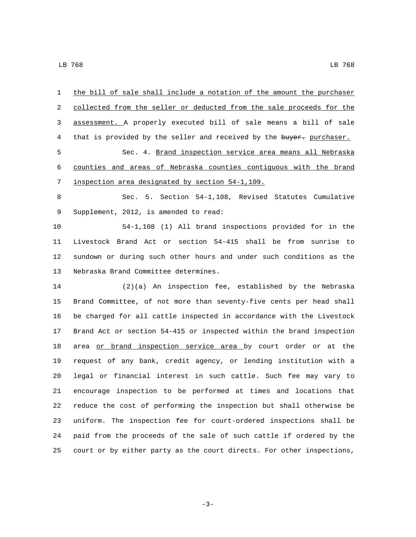| 1  | the bill of sale shall include a notation of the amount the purchaser |
|----|-----------------------------------------------------------------------|
| 2  | collected from the seller or deducted from the sale proceeds for the  |
| 3  | assessment. A properly executed bill of sale means a bill of sale     |
| 4  | that is provided by the seller and received by the buyer. purchaser.  |
| 5  | Sec. 4. Brand inspection service area means all Nebraska              |
| 6  | counties and areas of Nebraska counties contiguous with the brand     |
| 7  | inspection area designated by section 54-1,109.                       |
| 8  | Sec. 5. Section 54-1,108, Revised Statutes Cumulative                 |
| 9  | Supplement, 2012, is amended to read:                                 |
| 10 | 54-1,108 (1) All brand inspections provided for in the                |
| 11 | Livestock Brand Act or section 54-415 shall be from sunrise to        |
| 12 | sundown or during such other hours and under such conditions as the   |
| 13 | Nebraska Brand Committee determines.                                  |
| 14 | $(2)(a)$ An inspection fee, established by the Nebraska               |
| 15 | Brand Committee, of not more than seventy-five cents per head shall   |
| 16 | be charged for all cattle inspected in accordance with the Livestock  |
| 17 | Brand Act or section 54-415 or inspected within the brand inspection  |
| 18 | area or brand inspection service area by court order or at the        |
| 19 | request of any bank, credit agency, or lending institution with a     |
| 20 | legal or financial interest in such cattle. Such fee may vary to      |
| 21 | encourage inspection to be performed at times and locations that      |
| 22 | reduce the cost of performing the inspection but shall otherwise be   |
| 23 | uniform. The inspection fee for court-ordered inspections shall be    |
| 24 | paid from the proceeds of the sale of such cattle if ordered by the   |
| 25 | court or by either party as the court directs. For other inspections, |

-3-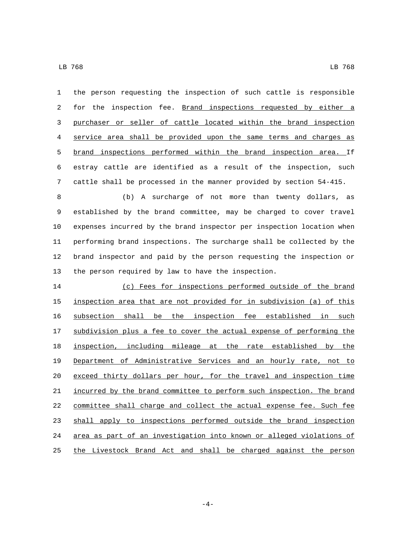the person requesting the inspection of such cattle is responsible 2 for the inspection fee. Brand inspections requested by either a purchaser or seller of cattle located within the brand inspection service area shall be provided upon the same terms and charges as brand inspections performed within the brand inspection area. If estray cattle are identified as a result of the inspection, such cattle shall be processed in the manner provided by section 54-415.

 (b) A surcharge of not more than twenty dollars, as established by the brand committee, may be charged to cover travel expenses incurred by the brand inspector per inspection location when performing brand inspections. The surcharge shall be collected by the brand inspector and paid by the person requesting the inspection or the person required by law to have the inspection.

 (c) Fees for inspections performed outside of the brand inspection area that are not provided for in subdivision (a) of this subsection shall be the inspection fee established in such subdivision plus a fee to cover the actual expense of performing the inspection, including mileage at the rate established by the Department of Administrative Services and an hourly rate, not to exceed thirty dollars per hour, for the travel and inspection time incurred by the brand committee to perform such inspection. The brand committee shall charge and collect the actual expense fee. Such fee 23 shall apply to inspections performed outside the brand inspection area as part of an investigation into known or alleged violations of the Livestock Brand Act and shall be charged against the person

-4-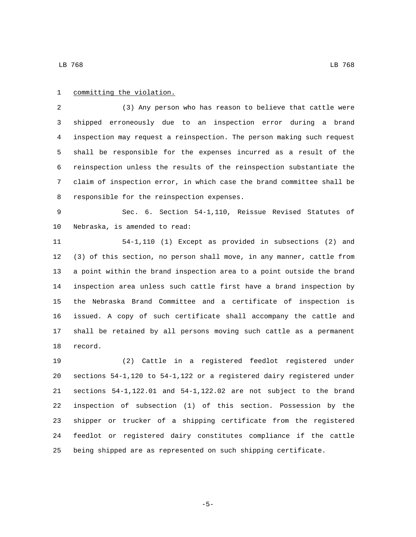## 1 committing the violation.

 (3) Any person who has reason to believe that cattle were shipped erroneously due to an inspection error during a brand inspection may request a reinspection. The person making such request shall be responsible for the expenses incurred as a result of the reinspection unless the results of the reinspection substantiate the claim of inspection error, in which case the brand committee shall be 8 responsible for the reinspection expenses.

 Sec. 6. Section 54-1,110, Reissue Revised Statutes of 10 Nebraska, is amended to read:

 54-1,110 (1) Except as provided in subsections (2) and (3) of this section, no person shall move, in any manner, cattle from a point within the brand inspection area to a point outside the brand inspection area unless such cattle first have a brand inspection by the Nebraska Brand Committee and a certificate of inspection is issued. A copy of such certificate shall accompany the cattle and shall be retained by all persons moving such cattle as a permanent 18 record.

 (2) Cattle in a registered feedlot registered under sections 54-1,120 to 54-1,122 or a registered dairy registered under sections 54-1,122.01 and 54-1,122.02 are not subject to the brand inspection of subsection (1) of this section. Possession by the shipper or trucker of a shipping certificate from the registered feedlot or registered dairy constitutes compliance if the cattle being shipped are as represented on such shipping certificate.

-5-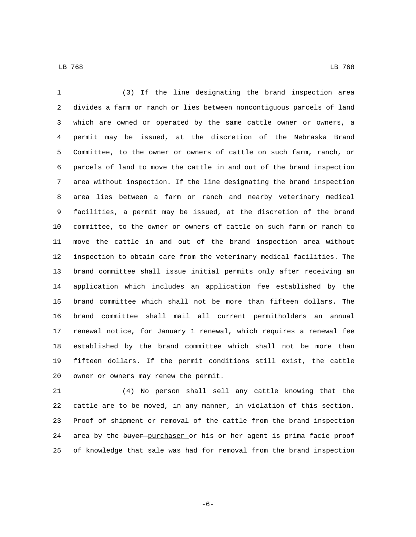LB 768 LB 768

 (3) If the line designating the brand inspection area divides a farm or ranch or lies between noncontiguous parcels of land which are owned or operated by the same cattle owner or owners, a permit may be issued, at the discretion of the Nebraska Brand Committee, to the owner or owners of cattle on such farm, ranch, or parcels of land to move the cattle in and out of the brand inspection area without inspection. If the line designating the brand inspection area lies between a farm or ranch and nearby veterinary medical facilities, a permit may be issued, at the discretion of the brand committee, to the owner or owners of cattle on such farm or ranch to move the cattle in and out of the brand inspection area without inspection to obtain care from the veterinary medical facilities. The brand committee shall issue initial permits only after receiving an application which includes an application fee established by the brand committee which shall not be more than fifteen dollars. The brand committee shall mail all current permitholders an annual renewal notice, for January 1 renewal, which requires a renewal fee established by the brand committee which shall not be more than fifteen dollars. If the permit conditions still exist, the cattle 20 owner or owners may renew the permit.

 (4) No person shall sell any cattle knowing that the cattle are to be moved, in any manner, in violation of this section. Proof of shipment or removal of the cattle from the brand inspection 24 area by the buyer purchaser or his or her agent is prima facie proof of knowledge that sale was had for removal from the brand inspection

-6-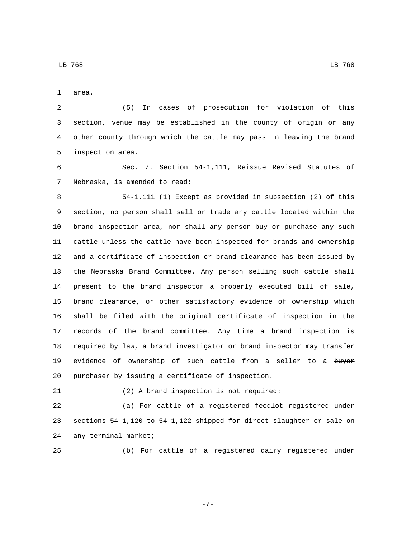1 area.

 (5) In cases of prosecution for violation of this section, venue may be established in the county of origin or any other county through which the cattle may pass in leaving the brand 5 inspection area.

 Sec. 7. Section 54-1,111, Reissue Revised Statutes of 7 Nebraska, is amended to read:

 54-1,111 (1) Except as provided in subsection (2) of this section, no person shall sell or trade any cattle located within the brand inspection area, nor shall any person buy or purchase any such cattle unless the cattle have been inspected for brands and ownership and a certificate of inspection or brand clearance has been issued by the Nebraska Brand Committee. Any person selling such cattle shall present to the brand inspector a properly executed bill of sale, brand clearance, or other satisfactory evidence of ownership which shall be filed with the original certificate of inspection in the records of the brand committee. Any time a brand inspection is required by law, a brand investigator or brand inspector may transfer 19 evidence of ownership of such cattle from a seller to a buyer 20 purchaser by issuing a certificate of inspection.

(2) A brand inspection is not required:

 (a) For cattle of a registered feedlot registered under sections 54-1,120 to 54-1,122 shipped for direct slaughter or sale on 24 any terminal market;

(b) For cattle of a registered dairy registered under

-7-

LB 768 LB 768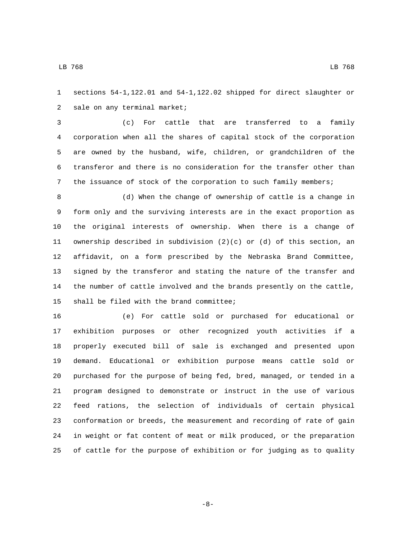sections 54-1,122.01 and 54-1,122.02 shipped for direct slaughter or 2 sale on any terminal market;

 (c) For cattle that are transferred to a family corporation when all the shares of capital stock of the corporation are owned by the husband, wife, children, or grandchildren of the transferor and there is no consideration for the transfer other than the issuance of stock of the corporation to such family members;

 (d) When the change of ownership of cattle is a change in form only and the surviving interests are in the exact proportion as the original interests of ownership. When there is a change of ownership described in subdivision (2)(c) or (d) of this section, an affidavit, on a form prescribed by the Nebraska Brand Committee, signed by the transferor and stating the nature of the transfer and the number of cattle involved and the brands presently on the cattle, 15 shall be filed with the brand committee;

 (e) For cattle sold or purchased for educational or exhibition purposes or other recognized youth activities if a properly executed bill of sale is exchanged and presented upon demand. Educational or exhibition purpose means cattle sold or purchased for the purpose of being fed, bred, managed, or tended in a program designed to demonstrate or instruct in the use of various feed rations, the selection of individuals of certain physical conformation or breeds, the measurement and recording of rate of gain in weight or fat content of meat or milk produced, or the preparation of cattle for the purpose of exhibition or for judging as to quality

-8-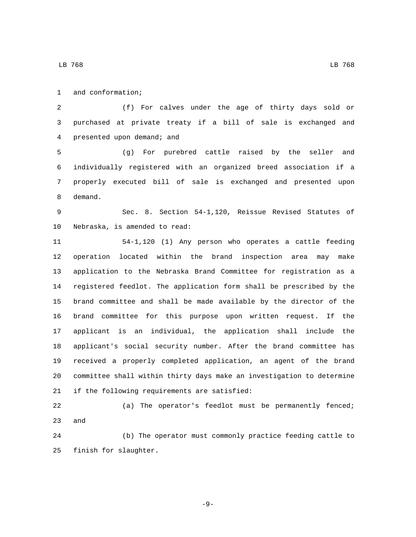1 and conformation;

 (f) For calves under the age of thirty days sold or purchased at private treaty if a bill of sale is exchanged and 4 presented upon demand; and

 (g) For purebred cattle raised by the seller and individually registered with an organized breed association if a properly executed bill of sale is exchanged and presented upon 8 demand.

 Sec. 8. Section 54-1,120, Reissue Revised Statutes of 10 Nebraska, is amended to read:

 54-1,120 (1) Any person who operates a cattle feeding operation located within the brand inspection area may make application to the Nebraska Brand Committee for registration as a registered feedlot. The application form shall be prescribed by the brand committee and shall be made available by the director of the brand committee for this purpose upon written request. If the applicant is an individual, the application shall include the applicant's social security number. After the brand committee has received a properly completed application, an agent of the brand committee shall within thirty days make an investigation to determine 21 if the following requirements are satisfied:

 (a) The operator's feedlot must be permanently fenced; 23 and

 (b) The operator must commonly practice feeding cattle to 25 finish for slaughter.

-9-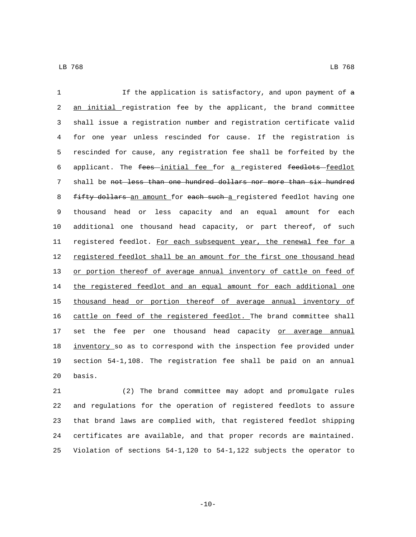LB 768 LB 768

1 If the application is satisfactory, and upon payment of a 2 an initial registration fee by the applicant, the brand committee 3 shall issue a registration number and registration certificate valid 4 for one year unless rescinded for cause. If the registration is 5 rescinded for cause, any registration fee shall be forfeited by the 6 applicant. The fees-initial fee for a registered feedlots-feedlot 7 shall be not less than one hundred dollars nor more than six hundred 8 fifty dollars an amount for each such a registered feedlot having one 9 thousand head or less capacity and an equal amount for each 10 additional one thousand head capacity, or part thereof, of such 11 registered feedlot. For each subsequent year, the renewal fee for a 12 registered feedlot shall be an amount for the first one thousand head 13 or portion thereof of average annual inventory of cattle on feed of 14 the registered feedlot and an equal amount for each additional one 15 thousand head or portion thereof of average annual inventory of 16 cattle on feed of the registered feedlot. The brand committee shall 17 set the fee per one thousand head capacity or average annual 18 inventory so as to correspond with the inspection fee provided under 19 section 54-1,108. The registration fee shall be paid on an annual 20 basis.

 (2) The brand committee may adopt and promulgate rules and regulations for the operation of registered feedlots to assure that brand laws are complied with, that registered feedlot shipping certificates are available, and that proper records are maintained. Violation of sections 54-1,120 to 54-1,122 subjects the operator to

 $-10-$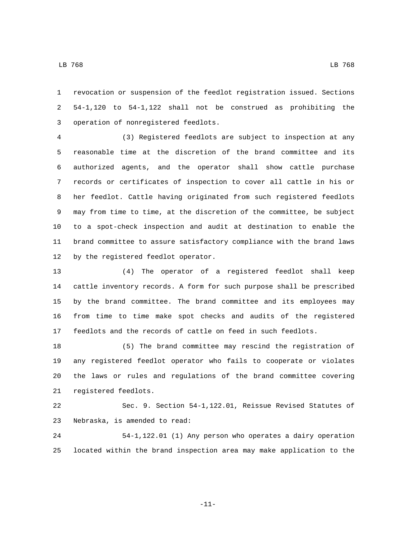revocation or suspension of the feedlot registration issued. Sections 54-1,120 to 54-1,122 shall not be construed as prohibiting the 3 operation of nonregistered feedlots.

 (3) Registered feedlots are subject to inspection at any reasonable time at the discretion of the brand committee and its authorized agents, and the operator shall show cattle purchase records or certificates of inspection to cover all cattle in his or her feedlot. Cattle having originated from such registered feedlots may from time to time, at the discretion of the committee, be subject to a spot-check inspection and audit at destination to enable the brand committee to assure satisfactory compliance with the brand laws 12 by the registered feedlot operator.

 (4) The operator of a registered feedlot shall keep cattle inventory records. A form for such purpose shall be prescribed by the brand committee. The brand committee and its employees may from time to time make spot checks and audits of the registered feedlots and the records of cattle on feed in such feedlots.

 (5) The brand committee may rescind the registration of any registered feedlot operator who fails to cooperate or violates the laws or rules and regulations of the brand committee covering 21 registered feedlots.

 Sec. 9. Section 54-1,122.01, Reissue Revised Statutes of 23 Nebraska, is amended to read:

 54-1,122.01 (1) Any person who operates a dairy operation located within the brand inspection area may make application to the

-11-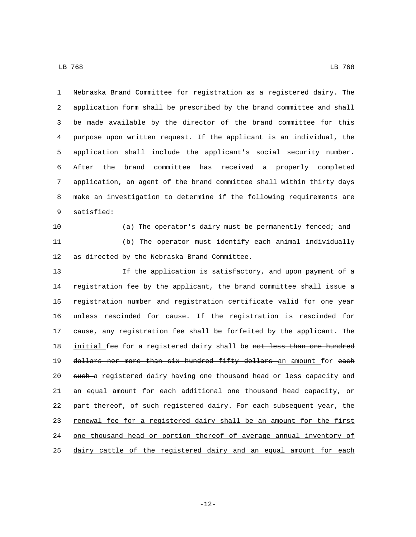Nebraska Brand Committee for registration as a registered dairy. The application form shall be prescribed by the brand committee and shall be made available by the director of the brand committee for this purpose upon written request. If the applicant is an individual, the application shall include the applicant's social security number. After the brand committee has received a properly completed application, an agent of the brand committee shall within thirty days make an investigation to determine if the following requirements are 9 satisfied:

 (a) The operator's dairy must be permanently fenced; and (b) The operator must identify each animal individually 12 as directed by the Nebraska Brand Committee.

 If the application is satisfactory, and upon payment of a registration fee by the applicant, the brand committee shall issue a registration number and registration certificate valid for one year unless rescinded for cause. If the registration is rescinded for cause, any registration fee shall be forfeited by the applicant. The 18 initial fee for a registered dairy shall be not less than one hundred 19 dollars nor more than six hundred fifty dollars an amount for each 20 such a registered dairy having one thousand head or less capacity and an equal amount for each additional one thousand head capacity, or 22 part thereof, of such registered dairy. For each subsequent year, the 23 renewal fee for a registered dairy shall be an amount for the first 24 one thousand head or portion thereof of average annual inventory of dairy cattle of the registered dairy and an equal amount for each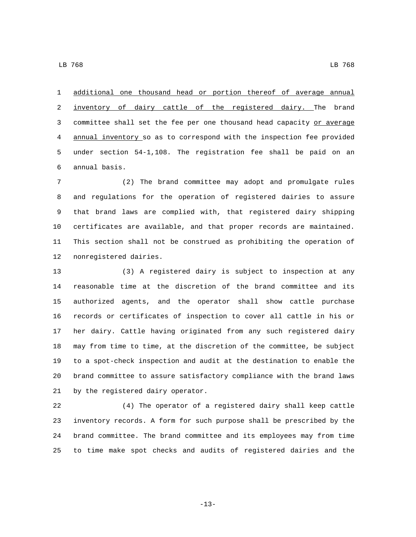additional one thousand head or portion thereof of average annual

2 inventory of dairy cattle of the registered dairy. The brand 3 committee shall set the fee per one thousand head capacity or average annual inventory so as to correspond with the inspection fee provided under section 54-1,108. The registration fee shall be paid on an annual basis.6

 (2) The brand committee may adopt and promulgate rules and regulations for the operation of registered dairies to assure that brand laws are complied with, that registered dairy shipping certificates are available, and that proper records are maintained. This section shall not be construed as prohibiting the operation of 12 nonregistered dairies.

 (3) A registered dairy is subject to inspection at any reasonable time at the discretion of the brand committee and its authorized agents, and the operator shall show cattle purchase records or certificates of inspection to cover all cattle in his or her dairy. Cattle having originated from any such registered dairy may from time to time, at the discretion of the committee, be subject to a spot-check inspection and audit at the destination to enable the brand committee to assure satisfactory compliance with the brand laws 21 by the registered dairy operator.

 (4) The operator of a registered dairy shall keep cattle inventory records. A form for such purpose shall be prescribed by the brand committee. The brand committee and its employees may from time to time make spot checks and audits of registered dairies and the

-13-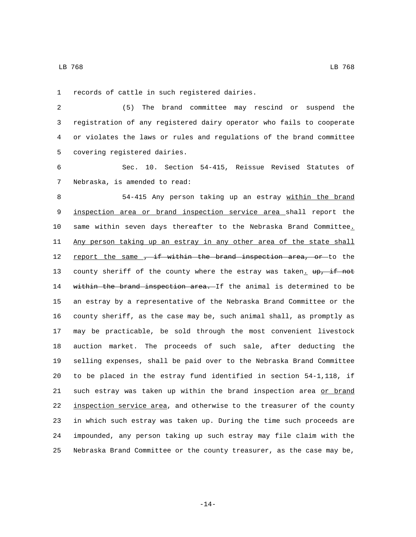1 records of cattle in such registered dairies.

 (5) The brand committee may rescind or suspend the registration of any registered dairy operator who fails to cooperate or violates the laws or rules and regulations of the brand committee 5 covering registered dairies.

 Sec. 10. Section 54-415, Reissue Revised Statutes of 7 Nebraska, is amended to read:

 54-415 Any person taking up an estray within the brand inspection area or brand inspection service area shall report the same within seven days thereafter to the Nebraska Brand Committee. 11 Any person taking up an estray in any other area of the state shall 12 <u>report the same, if within the brand inspection area, or</u> to the 13 county sheriff of the county where the estray was taken. up, if not 14 within the brand inspection area. If the animal is determined to be an estray by a representative of the Nebraska Brand Committee or the county sheriff, as the case may be, such animal shall, as promptly as may be practicable, be sold through the most convenient livestock auction market. The proceeds of such sale, after deducting the selling expenses, shall be paid over to the Nebraska Brand Committee to be placed in the estray fund identified in section 54-1,118, if 21 such estray was taken up within the brand inspection area or brand inspection service area, and otherwise to the treasurer of the county in which such estray was taken up. During the time such proceeds are impounded, any person taking up such estray may file claim with the Nebraska Brand Committee or the county treasurer, as the case may be,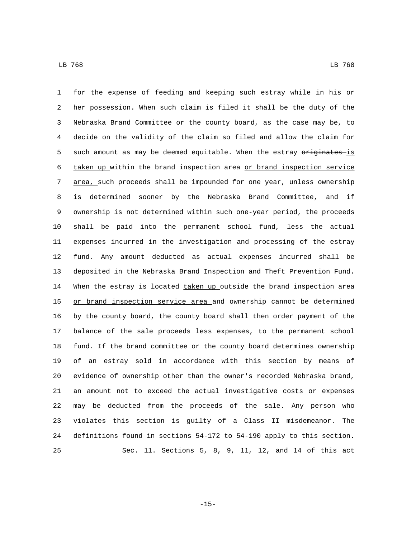for the expense of feeding and keeping such estray while in his or her possession. When such claim is filed it shall be the duty of the Nebraska Brand Committee or the county board, as the case may be, to decide on the validity of the claim so filed and allow the claim for 5 such amount as may be deemed equitable. When the estray originates is 6 taken up within the brand inspection area or brand inspection service area, such proceeds shall be impounded for one year, unless ownership is determined sooner by the Nebraska Brand Committee, and if ownership is not determined within such one-year period, the proceeds shall be paid into the permanent school fund, less the actual expenses incurred in the investigation and processing of the estray fund. Any amount deducted as actual expenses incurred shall be deposited in the Nebraska Brand Inspection and Theft Prevention Fund. 14 When the estray is <del>located taken up</del> outside the brand inspection area 15 or brand inspection service area and ownership cannot be determined by the county board, the county board shall then order payment of the balance of the sale proceeds less expenses, to the permanent school fund. If the brand committee or the county board determines ownership of an estray sold in accordance with this section by means of evidence of ownership other than the owner's recorded Nebraska brand, an amount not to exceed the actual investigative costs or expenses may be deducted from the proceeds of the sale. Any person who violates this section is guilty of a Class II misdemeanor. The definitions found in sections 54-172 to 54-190 apply to this section. Sec. 11. Sections 5, 8, 9, 11, 12, and 14 of this act